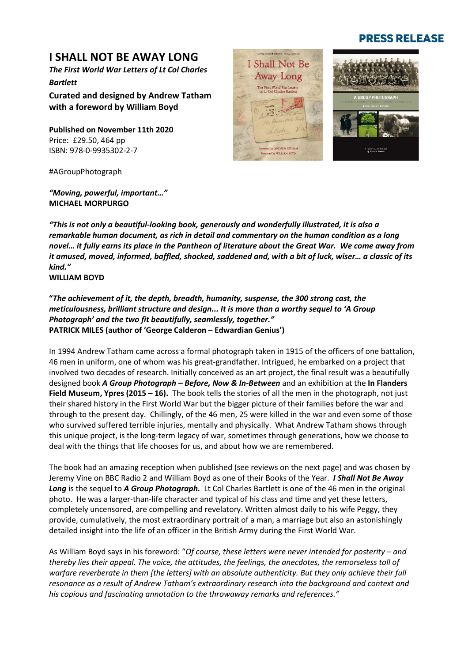## **PRESS RELEASE**

## **I SHALL NOT BE AWAY LONG**

*The First World War Letters of Lt Col Charles Bartlett*

**Curated and designed by Andrew Tatham with a foreword by William Boyd**

**Published on November 11th 2020** Price: £29.50, 464 pp ISBN: 978-0-9935302-2-7

#AGroupPhotograph

*"Moving, powerful, important…"* **MICHAEL MORPURGO**



*"This is not only a beautiful-looking book, generously and wonderfully illustrated, it is also a remarkable human document, as rich in detail and commentary on the human condition as a long novel… it fully earns its place in the Pantheon of literature about the Great War. We come away from it amused, moved, informed, baffled, shocked, saddened and, with a bit of luck, wiser… a classic of its kind."*

**WILLIAM BOYD**

**"***The achievement of it, the depth, breadth, humanity, suspense, the 300 strong cast, the meticulousness, brilliant structure and design... It is more than a worthy sequel to 'A Group Photograph' and the two fit beautifully, seamlessly, together."* **PATRICK MILES (author of 'George Calderon – Edwardian Genius')**

In 1994 Andrew Tatham came across a formal photograph taken in 1915 of the officers of one battalion, 46 men in uniform, one of whom was his great-grandfather. Intrigued, he embarked on a project that involved two decades of research. Initially conceived as an art project, the final result was a beautifully designed book *A Group Photograph – Before, Now & In-Between* and an exhibition at the **In Flanders Field Museum, Ypres (2015 – 16).** The book tells the stories of all the men in the photograph, not just their shared history in the First World War but the bigger picture of their families before the war and through to the present day. Chillingly, of the 46 men, 25 were killed in the war and even some of those who survived suffered terrible injuries, mentally and physically. What Andrew Tatham shows through this unique project, is the long-term legacy of war, sometimes through generations, how we choose to deal with the things that life chooses for us, and about how we are remembered.

The book had an amazing reception when published (see reviews on the next page) and was chosen by Jeremy Vine on BBC Radio 2 and William Boyd as one of their Books of the Year. *I Shall Not Be Away*  Long is the sequel to *A Group Photograph.* Lt Col Charles Bartlett is one of the 46 men in the original photo. He was a larger-than-life character and typical of his class and time and yet these letters, completely uncensored, are compelling and revelatory. Written almost daily to his wife Peggy, they provide, cumulatively, the most extraordinary portrait of a man, a marriage but also an astonishingly detailed insight into the life of an officer in the British Army during the First World War.

As William Boyd says in his foreword: "*Of course, these letters were never intended for posterity – and thereby lies their appeal. The voice, the attitudes, the feelings, the anecdotes, the remorseless toll of warfare reverberate in them [the letters] with an absolute authenticity. But they only achieve their full resonance as a result of Andrew Tatham's extraordinary research into the background and context and his copious and fascinating annotation to the throwaway remarks and references."*